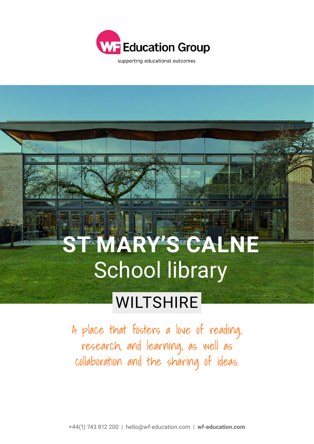

supporting educational outcomes

## **ST MARY'S CALNE** School library

## **WILTSHIRE**

A place that fosters a love of reading, research, and learning, as well as collaboration and the sharing of ideas.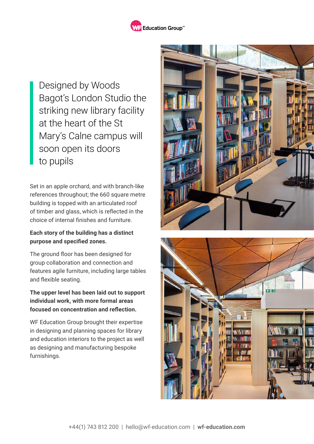

Designed by Woods Bagot's London Studio the striking new library facility at the heart of the St Mary's Calne campus will soon open its doors to pupils

Set in an apple orchard, and with branch-like references throughout; the 660 square metre building is topped with an articulated roof of timber and glass, which is reflected in the choice of internal finishes and furniture.

## **Each story of the building has a distinct purpose and specified zones.**

The ground floor has been designed for group collaboration and connection and features agile furniture, including large tables and flexible seating.

## **The upper level has been laid out to support individual work, with more formal areas focused on concentration and reflection.**

WF Education Group brought their expertise in designing and planning spaces for library and education interiors to the project as well as designing and manufacturing bespoke furnishings.